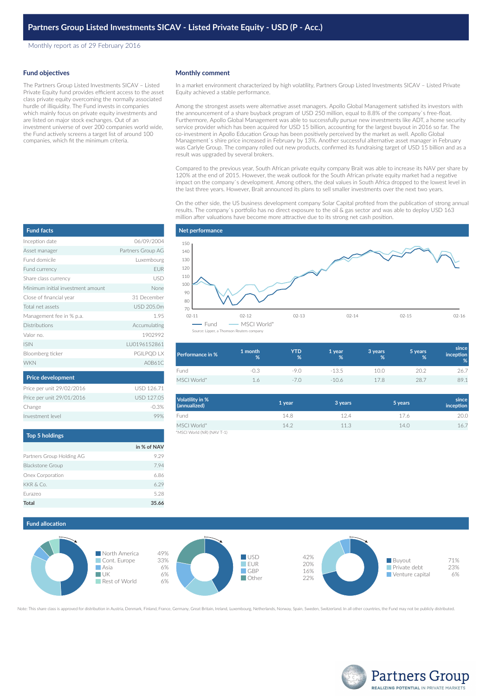Monthly report as of 29 February 2016

### **Fund objectives**

The Partners Group Listed Investments SICAV – Listed Private Equity fund provides efficient access to the asset class private equity overcoming the normally associated hurdle of illiquidity. The Fund invests in companies which mainly focus on private equity investments and are listed on major stock exchanges. Out of an investment universe of over 200 companies world wide, the Fund actively screens a target list of around 100 companies, which fit the minimum criteria.

### **Monthly comment**

In a market environment characterized by high volatility, Partners Group Listed Investments SICAV – Listed Private Equity achieved a stable performance.

Among the strongest assets were alternative asset managers. Apollo Global Management satisfied its investors with the announcement of a share buyback program of USD 250 million, equal to 8.8% of the company`s free-float. Furthermore, Apollo Global Management was able to successfully pursue new investments like ADT, a home security service provider which has been acquired for USD 15 billion, accounting for the largest buyout in 2016 so far. The co-investment in Apollo Education Group has been positively perceived by the market as well. Apollo Global Management`s shire price increased in February by 13%. Another successful alternative asset manager in February was Carlyle Group. The company rolled out new products, confirmed its fundraising target of USD 15 billion and as a result was upgraded by several brokers.

Compared to the previous year, South African private equity company Brait was able to increase its NAV per share by 120% at the end of 2015. However, the weak outlook for the South African private equity market had a negative impact on the company`s development. Among others, the deal values in South Africa dropped to the lowest level in the last three years. However, Brait announced its plans to sell smaller investments over the next two years.

On the other side, the US business development company Solar Capital profited from the publication of strong annual results. The company`s portfolio has no direct exposure to the oil & gas sector and was able to deploy USD 163 million after valuations have become more attractive due to its strong net cash position.



| <b>Performance in %</b> | 1 month<br>% | YTD<br>% | 1 year<br>% | 3 years<br>% | 5 years<br>% | since<br>inception<br>% |
|-------------------------|--------------|----------|-------------|--------------|--------------|-------------------------|
| Fund                    | $-0.3$       | -9.1     | $-13.5$     | 10.0         | 20.2         | 26.7                    |
| MSCI World*             | 16           | $-1$     | $-106$      | 178          | 28.7         | 89.1                    |

| Volatility in %<br>(annualized) | 1 year | 3 years | 5 years | since<br>inception |
|---------------------------------|--------|---------|---------|--------------------|
| Fund                            | 14.8   | 12.4    | 17.6    | 20.0               |
| MSCI World*                     | 14.2   | 11.3    | 14.0    | 16.7               |
| *MSCI World (NR) (NAV T-1)      |        |         |         |                    |

# **Fund allocation**



Note: This share class is approved for distribution in Austria, Denmark, Finland, France, Germany, Great Britain, Ireland, Luxembourg, Netherlands, Norway, Spain, Sweden, Switzerland. In all other countries, the Fund may n



| <b>Fund facts</b>                 |                   |
|-----------------------------------|-------------------|
| Inception date                    | 06/09/2004        |
| Asset manager                     | Partners Group AG |
| Fund domicile                     | Luxembourg        |
| Fund currency                     | <b>EUR</b>        |
| Share class currency              | USD               |
| Minimum initial investment amount | None              |
| Close of financial year           | 31 December       |
| Total net assets                  | USD 205.0m        |
| Management fee in % p.a.          | 1.95              |
| Distributions                     | Accumulating      |
| Valor no.                         | 1902992           |
| <b>ISIN</b>                       | LU0196152861      |
| Bloomberg ticker                  | PGILPQD LX        |
| <b>WKN</b>                        | A0B61C            |
| <b>Price development</b>          |                   |
| Price per unit 29/02/2016         | <b>USD 126.71</b> |
| Price per unit 29/01/2016         | USD 127.05        |
| Change                            | $-0.3%$           |
| Investment level                  | 99%               |
|                                   |                   |

| Top 5 holdings            |             |
|---------------------------|-------------|
|                           | in % of NAV |
| Partners Group Holding AG | 9.29        |
| <b>Blackstone Group</b>   | 7.94        |
| Onex Corporation          | 6.86        |
| KKR & Co.                 | 6.29        |
| Furazeo                   | 5.28        |
| <b>Total</b>              | 35.66       |